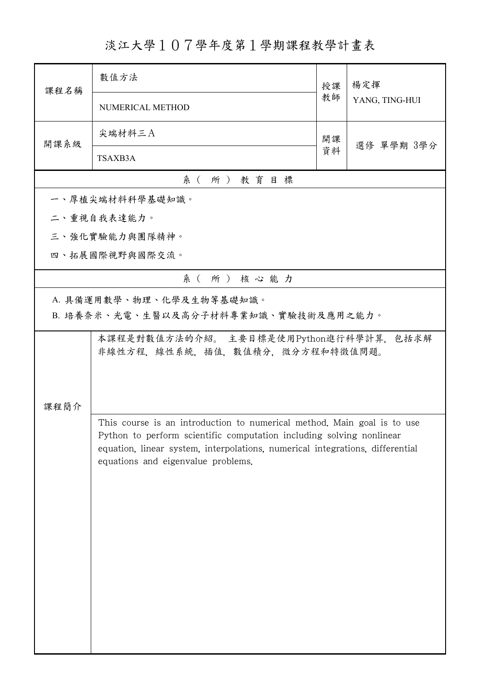淡江大學107學年度第1學期課程教學計畫表

| 課程名稱                                                             | 數值方法                                                                                                                                                                                        | 授課 | 楊定揮            |  |  |  |
|------------------------------------------------------------------|---------------------------------------------------------------------------------------------------------------------------------------------------------------------------------------------|----|----------------|--|--|--|
|                                                                  | NUMERICAL METHOD                                                                                                                                                                            | 教師 | YANG, TING-HUI |  |  |  |
| 開課系級                                                             | 尖端材料三A                                                                                                                                                                                      | 開課 |                |  |  |  |
|                                                                  | TSAXB3A                                                                                                                                                                                     | 資料 | 選修 單學期 3學分     |  |  |  |
| 系(所)教育目標                                                         |                                                                                                                                                                                             |    |                |  |  |  |
|                                                                  | 一、厚植尖端材料科學基礎知識。                                                                                                                                                                             |    |                |  |  |  |
|                                                                  | 二、重視自我表達能力。                                                                                                                                                                                 |    |                |  |  |  |
|                                                                  | 三、強化實驗能力與團隊精神。                                                                                                                                                                              |    |                |  |  |  |
|                                                                  | 四、拓展國際視野與國際交流。                                                                                                                                                                              |    |                |  |  |  |
|                                                                  | 系(所)核心能力                                                                                                                                                                                    |    |                |  |  |  |
| A. 具備運用數學、物理、化學及生物等基礎知識。<br>B. 培養奈米、光電、生醫以及高分子材料專業知識、實驗技術及應用之能力。 |                                                                                                                                                                                             |    |                |  |  |  |
| 課程簡介                                                             | 非線性方程,線性系統,插值,數值積分,微分方程和特徵值問題。<br>This course is an introduction to numerical method. Main goal is to use                                                                                   |    |                |  |  |  |
|                                                                  | Python to perform scientific computation including solving nonlinear<br>equation, linear system, interpolations, numerical integrations, differential<br>equations and eigenvalue problems. |    |                |  |  |  |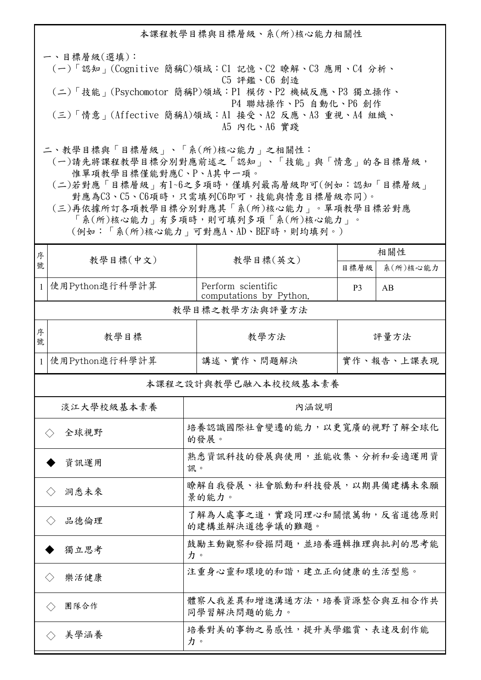本課程教學目標與目標層級、系(所)核心能力相關性 一、目標層級(選填): (一)「認知」(Cognitive 簡稱C)領域:C1 記憶、C2 瞭解、C3 應用、C4 分析、 C5 評鑑、C6 創造 (二)「技能」(Psychomotor 簡稱P)領域:P1 模仿、P2 機械反應、P3 獨立操作、 P4 聯結操作、P5 自動化、P6 創作 (三)「情意」(Affective 簡稱A)領域:A1 接受、A2 反應、A3 重視、A4 組織、 A5 內化、A6 實踐 二、教學目標與「目標層級」、「系(所)核心能力」之相關性:

 (一)請先將課程教學目標分別對應前述之「認知」、「技能」與「情意」的各目標層級, 惟單項教學目標僅能對應C、P、A其中一項。

 (二)若對應「目標層級」有1~6之多項時,僅填列最高層級即可(例如:認知「目標層級」 對應為C3、C5、C6項時,只需填列C6即可,技能與情意目標層級亦同)。

 (三)再依據所訂各項教學目標分別對應其「系(所)核心能力」。單項教學目標若對應 「系(所)核心能力」有多項時,則可填列多項「系(所)核心能力」。 (例如:「系(所)核心能力」可對應A、AD、BEF時,則均填列。)

| 序                           | 教學目標(中文)                    |                                              |                                               | 相關性            |          |  |  |  |
|-----------------------------|-----------------------------|----------------------------------------------|-----------------------------------------------|----------------|----------|--|--|--|
| 號                           |                             |                                              | 教學目標(英文)                                      | 目標層級           | 系(所)核心能力 |  |  |  |
| $\mathbf{1}$                | 使用Python進行科學計算              |                                              | Perform scientific<br>computations by Python. | P <sub>3</sub> | AB       |  |  |  |
|                             | 教學目標之教學方法與評量方法              |                                              |                                               |                |          |  |  |  |
| 序<br>號                      | 教學目標                        |                                              | 教學方法                                          | 評量方法           |          |  |  |  |
| $\mathbf{1}$                | 使用Python進行科學計算              |                                              | 講述、實作、問題解決                                    | 實作、報告、上課表現     |          |  |  |  |
| 本課程之設計與教學已融入本校校級基本素養        |                             |                                              |                                               |                |          |  |  |  |
| 淡江大學校級基本素養                  |                             | 內涵說明                                         |                                               |                |          |  |  |  |
| 全球視野<br>$\langle \ \rangle$ |                             | 培養認識國際社會變遷的能力,以更寬廣的視野了解全球化<br>的發展。           |                                               |                |          |  |  |  |
| 資訊運用                        |                             | 熟悉資訊科技的發展與使用,並能收集、分析和妥適運用資<br>訊。             |                                               |                |          |  |  |  |
| 洞悉未來<br>$\langle \ \rangle$ |                             | 瞭解自我發展、社會脈動和科技發展,以期具備建構未來願<br>景的能力。          |                                               |                |          |  |  |  |
| 品德倫理                        |                             | 了解為人處事之道,實踐同理心和關懷萬物,反省道德原則<br>的建構並解決道德爭議的難題。 |                                               |                |          |  |  |  |
| 獨立思考                        |                             | 鼓勵主動觀察和發掘問題,並培養邏輯推理與批判的思考能<br>力。             |                                               |                |          |  |  |  |
|                             | 樂活健康<br>$\langle$ $\rangle$ |                                              | 注重身心靈和環境的和諧,建立正向健康的生活型態。                      |                |          |  |  |  |
| 團隊合作                        |                             | 體察人我差異和增進溝通方法,培養資源整合與互相合作共<br>同學習解決問題的能力。    |                                               |                |          |  |  |  |
| 美學涵養                        |                             | 力。                                           | 培養對美的事物之易感性,提升美學鑑賞、表達及創作能                     |                |          |  |  |  |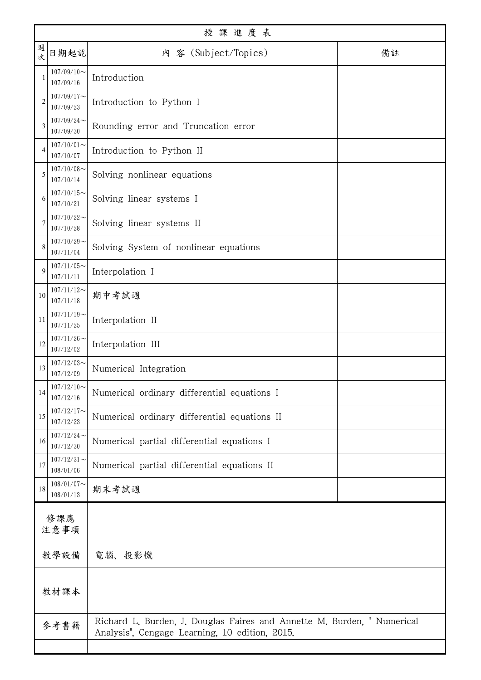| 授課進度表          |                                                                              |                                                                                                                           |  |  |  |  |
|----------------|------------------------------------------------------------------------------|---------------------------------------------------------------------------------------------------------------------------|--|--|--|--|
| 週<br>次         | 日期起訖                                                                         | 内 容 (Subject/Topics)<br>備註                                                                                                |  |  |  |  |
| 1              | $107/09/10$ ~<br>107/09/16                                                   | Introduction                                                                                                              |  |  |  |  |
| $\overline{2}$ | $107/09/17$ ~<br>107/09/23                                                   | Introduction to Python I                                                                                                  |  |  |  |  |
| 3              | $107/09/24$ ~<br>107/09/30                                                   | Rounding error and Truncation error                                                                                       |  |  |  |  |
| 4              | $107/10/01$ ~<br>107/10/07                                                   | Introduction to Python II                                                                                                 |  |  |  |  |
| 5              | $107/10/08$ ~<br>107/10/14                                                   | Solving nonlinear equations                                                                                               |  |  |  |  |
| 6              | $107/10/15$ ~<br>107/10/21                                                   | Solving linear systems I                                                                                                  |  |  |  |  |
| 7              | $107/10/22$ ~<br>107/10/28                                                   | Solving linear systems II                                                                                                 |  |  |  |  |
| 8              | $107/10/29$ ~<br>107/11/04                                                   | Solving System of nonlinear equations                                                                                     |  |  |  |  |
| $\mathbf Q$    | $107/11/05$ ~<br>107/11/11                                                   | Interpolation I                                                                                                           |  |  |  |  |
| 10             | $107/11/12$ ~<br>107/11/18                                                   | 期中考試週                                                                                                                     |  |  |  |  |
| 11             | $107/11/19$ ~<br>107/11/25                                                   | Interpolation II                                                                                                          |  |  |  |  |
| 12             | $107/11/26$ ~<br>107/12/02                                                   | Interpolation III                                                                                                         |  |  |  |  |
| 13             | $107/12/03$ ~<br>107/12/09                                                   | Numerical Integration                                                                                                     |  |  |  |  |
| 14             | $107/12/10 \sim$<br>Numerical ordinary differential equations I<br>107/12/16 |                                                                                                                           |  |  |  |  |
| 15             | $107/12/17$ ~<br>Numerical ordinary differential equations II<br>107/12/23   |                                                                                                                           |  |  |  |  |
| 16             | $107/12/24$ ~<br>107/12/30                                                   | Numerical partial differential equations I                                                                                |  |  |  |  |
| 17             | $107/12/31$ ~<br>108/01/06                                                   | Numerical partial differential equations II                                                                               |  |  |  |  |
| 18             | $108/01/07$ ~<br>108/01/13                                                   | 期末考試週                                                                                                                     |  |  |  |  |
| 修課應            |                                                                              |                                                                                                                           |  |  |  |  |
| 注意事項           |                                                                              |                                                                                                                           |  |  |  |  |
| 教學設備           |                                                                              | 電腦、投影機                                                                                                                    |  |  |  |  |
| 教材課本           |                                                                              |                                                                                                                           |  |  |  |  |
| 參考書籍           |                                                                              | Richard L. Burden, J. Douglas Faires and Annette M. Burden, " Numerical<br>Analysis", Cengage Learning, 10 edition, 2015. |  |  |  |  |